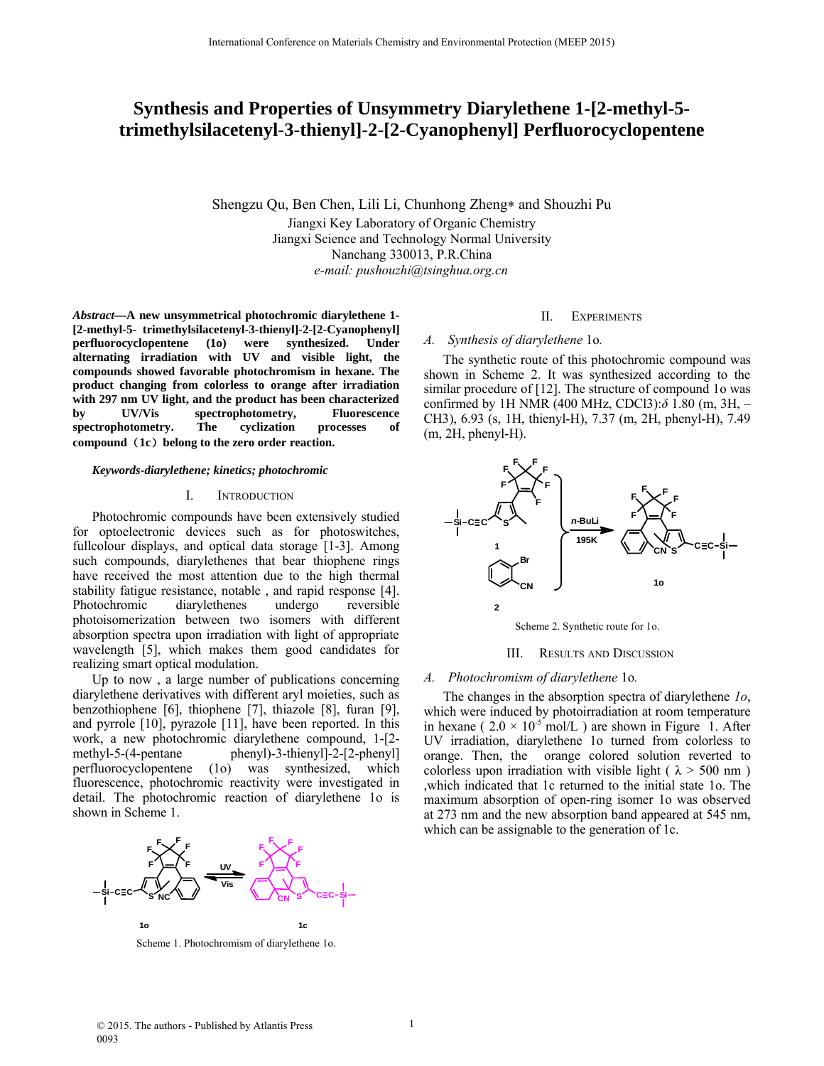# **Synthesis and Properties of Unsymmetry Diarylethene 1-[2-methyl-5 trimethylsilacetenyl-3-thienyl]-2-[2-Cyanophenyl] Perfluorocyclopentene**

Shengzu Qu, Ben Chen, Lili Li, Chunhong Zheng\* and Shouzhi Pu Jiangxi Key Laboratory of Organic Chemistry Jiangxi Science and Technology Normal University Nanchang 330013, P.R.China *e-mail: pushouzhi@tsinghua.org.cn*

*Abstract***—A new unsymmetrical photochromic diarylethene 1- [2-methyl-5- trimethylsilacetenyl-3-thienyl]-2-[2-Cyanophenyl] perfluorocyclopentene (1o) were synthesized. Under alternating irradiation with UV and visible light, the compounds showed favorable photochromism in hexane. The product changing from colorless to orange after irradiation with 297 nm UV light, and the product has been characterized by UV/Vis spectrophotometry, Fluorescence spectrophotometry. The cyclization processes of compound**(**1c**)**belong to the zero order reaction.**

#### *Keywords-diarylethene; kinetics; photochromic*

## I. INTRODUCTION

Photochromic compounds have been extensively studied for optoelectronic devices such as for photoswitches, fullcolour displays, and optical data storage [1-3]. Among such compounds, diarylethenes that bear thiophene rings have received the most attention due to the high thermal stability fatigue resistance, notable , and rapid response [4]. Photochromic diarylethenes undergo reversible photoisomerization between two isomers with different absorption spectra upon irradiation with light of appropriate wavelength [5], which makes them good candidates for realizing smart optical modulation.

Up to now , a large number of publications concerning diarylethene derivatives with different aryl moieties, such as benzothiophene [6], thiophene [7], thiazole [8], furan [9], and pyrrole [10], pyrazole [11], have been reported. In this work, a new photochromic diarylethene compound, 1-[2 methyl-5-(4-pentane phenyl)-3-thienyl]-2-[2-phenyl] perfluorocyclopentene (1o) was synthesized, which fluorescence, photochromic reactivity were investigated in detail. The photochromic reaction of diarylethene 1o is shown in Scheme 1.



Scheme 1. Photochromism of diarylethene 1o.

## II. EXPERIMENTS

## *A. Synthesis of diarylethene* 1o*.*

The synthetic route of this photochromic compound was shown in Scheme 2. It was synthesized according to the similar procedure of [12]. The structure of compound 1o was confirmed by 1H NMR (400 MHz, CDCl3):*δ* 1.80 (m, 3H, – CH3), 6.93 (s, 1H, thienyl-H), 7.37 (m, 2H, phenyl-H), 7.49 (m, 2H, phenyl-H).



Scheme 2. Synthetic route for 1o.

#### III. RESULTS AND DISCUSSION

#### *A. Photochromism of diarylethene* 1o*.*

The changes in the absorption spectra of diarylethene *1o*, which were induced by photoirradiation at room temperature in hexane (  $2.0 \times 10^{-5}$  mol/L ) are shown in Figure 1. After UV irradiation, diarylethene 1o turned from colorless to orange. Then, the orange colored solution reverted to colorless upon irradiation with visible light ( $\lambda$  > 500 nm) ,which indicated that 1c returned to the initial state 1o. The maximum absorption of open-ring isomer 1o was observed at 273 nm and the new absorption band appeared at 545 nm, which can be assignable to the generation of 1c.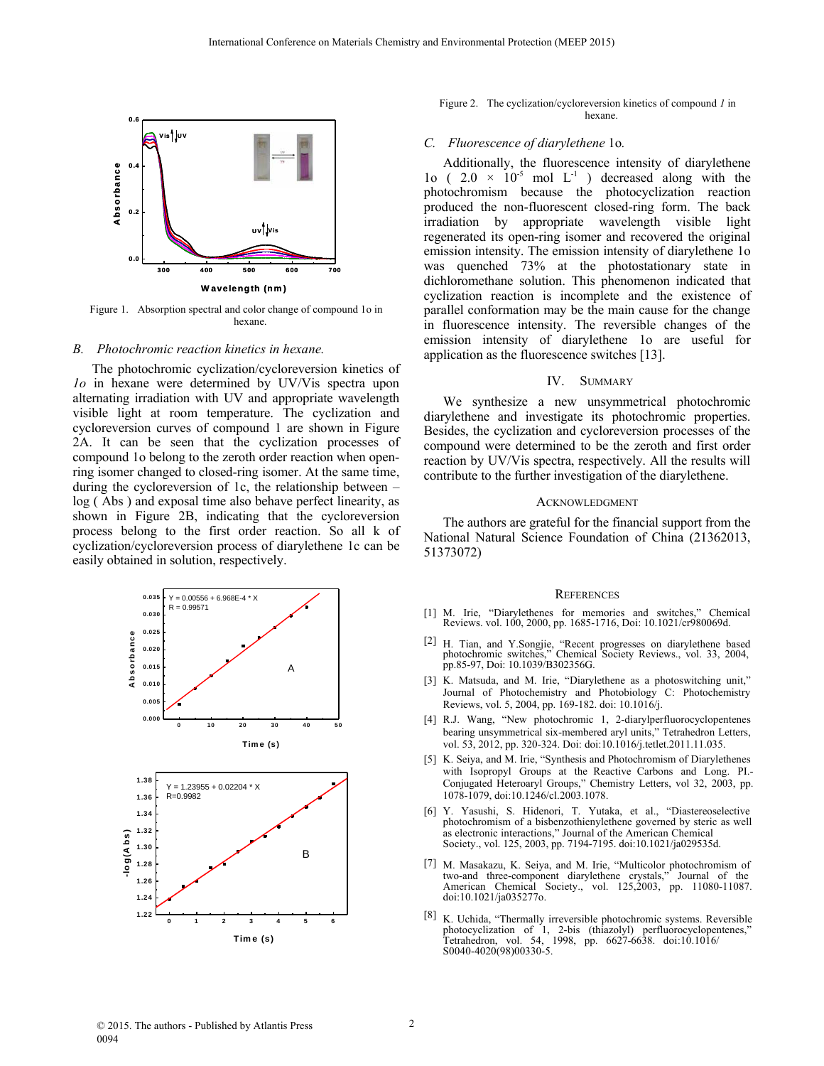

Figure 1. Absorption spectral and color change of compound 1o in hexane.

## *B. Photochromic reaction kinetics in hexane.*

The photochromic cyclization/cycloreversion kinetics of *1o* in hexane were determined by UV/Vis spectra upon alternating irradiation with UV and appropriate wavelength visible light at room temperature. The cyclization and cycloreversion curves of compound 1 are shown in Figure 2A. It can be seen that the cyclization processes of compound 1o belong to the zeroth order reaction when openring isomer changed to closed-ring isomer. At the same time, during the cycloreversion of 1c, the relationship between – log ( Abs ) and exposal time also behave perfect linearity, as shown in Figure 2B, indicating that the cycloreversion process belong to the first order reaction. So all k of cyclization/cycloreversion process of diarylethene 1c can be easily obtained in solution, respectively.



#### Figure 2. The cyclization/cycloreversion kinetics of compound *1* in hexane.

## *C. Fluorescence of diarylethene* 1o*.*

Additionally, the fluorescence intensity of diarylethene 1o (  $2.0 \times 10^{-5}$  mol L<sup>-1</sup> ) decreased along with the photochromism because the photocyclization reaction produced the non-fluorescent closed-ring form. The back irradiation by appropriate wavelength visible light regenerated its open-ring isomer and recovered the original emission intensity. The emission intensity of diarylethene 1o was quenched 73% at the photostationary state in dichloromethane solution. This phenomenon indicated that cyclization reaction is incomplete and the existence of parallel conformation may be the main cause for the change in fluorescence intensity. The reversible changes of the emission intensity of diarylethene 1o are useful for application as the fluorescence switches [13].

#### IV. SUMMARY

We synthesize a new unsymmetrical photochromic diarylethene and investigate its photochromic properties. Besides, the cyclization and cycloreversion processes of the compound were determined to be the zeroth and first order reaction by UV/Vis spectra, respectively. All the results will contribute to the further investigation of the diarylethene.

## **ACKNOWLEDGMENT**

The authors are grateful for the financial support from the National Natural Science Foundation of China (21362013, 51373072)

#### **REFERENCES**

- [1] M. Irie, "Diarylethenes for memories and switches," Chemical Reviews. vol. 100, 2000, pp. 1685-1716, Doi: 10.1021/cr980069d.
- [2] H. Tian, and Y.Songjie, "Recent progresses on diarylethene based photochromic switches," Chemical Society Reviews., vol. 33, 2004, pp.85-97, Doi: 10.1039/B302356G.
- [3] K. Matsuda, and M. Irie, "Diarylethene as a photoswitching unit," Journal of Photochemistry and Photobiology C: Photochemistry Reviews, vol. 5, 2004, pp. 169-182. doi: 10.1016/j.
- [4] R.J. Wang, "New photochromic 1, 2-diarylperfluorocyclopentenes bearing unsymmetrical six-membered aryl units," Tetrahedron Letters, vol. 53, 2012, pp. 320-324. Doi: doi:10.1016/j.tetlet.2011.11.035.
- [5] K. Seiya, and M. Irie, "Synthesis and Photochromism of Diarylethenes with Isopropyl Groups at the Reactive Carbons and Long. PI.- Conjugated Heteroaryl Groups," Chemistry Letters, vol 32, 2003, pp. 1078-1079, doi:10.1246/cl.2003.1078.
- [6] Y. Yasushi, S. Hidenori, T. Yutaka, et al., "Diastereoselective photochromism of a bisbenzothienylethene governed by steric as well as electronic interactions," Journal of the American Chemical Society., vol. 125, 2003, pp. 7194-7195. doi:10.1021/ja029535d.
- [7] M. Masakazu, K. Seiya, and M. Irie, "Multicolor photochromism of two-and three-component diarylethene crystals," Journal of the American Chemical Society., vol. 125,2003, pp. 11080-11087. doi:10.1021/ja035277o.
- [8] K. Uchida, "Thermally irreversible photochromic systems. Reversible photocyclization of 1, 2-bis (thiazolyl) perfluorocyclopentenes," Tetrahedron, vol. 54, 1998, pp. 6627-6638. doi:10.1016/ S0040-4020(98)00330-5.